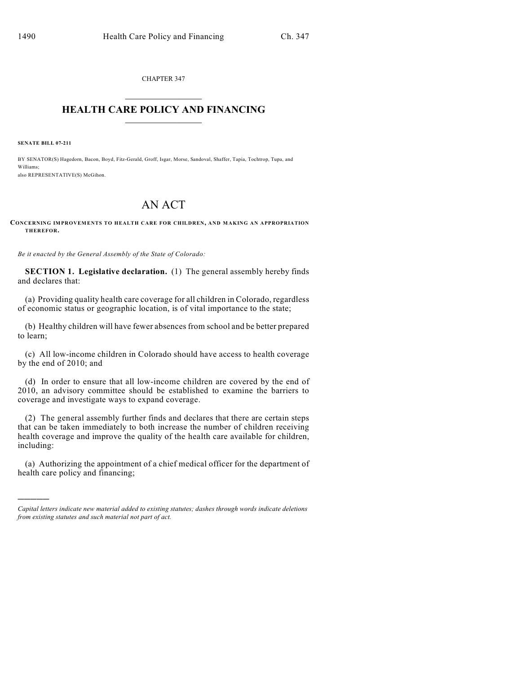CHAPTER 347  $\overline{\phantom{a}}$  . The set of the set of the set of the set of the set of the set of the set of the set of the set of the set of the set of the set of the set of the set of the set of the set of the set of the set of the set o

## **HEALTH CARE POLICY AND FINANCING**  $\_$   $\_$   $\_$   $\_$   $\_$   $\_$   $\_$   $\_$

**SENATE BILL 07-211**

)))))

BY SENATOR(S) Hagedorn, Bacon, Boyd, Fitz-Gerald, Groff, Isgar, Morse, Sandoval, Shaffer, Tapia, Tochtrop, Tupa, and Williams; also REPRESENTATIVE(S) McGihon.

## AN ACT

## **CONCERNING IMPROVEMENTS TO HEALTH CARE FOR CHILDREN, AND MAKING AN APPROPRIATION THEREFOR.**

*Be it enacted by the General Assembly of the State of Colorado:*

**SECTION 1. Legislative declaration.** (1) The general assembly hereby finds and declares that:

(a) Providing quality health care coverage for all children in Colorado, regardless of economic status or geographic location, is of vital importance to the state;

(b) Healthy children will have fewer absences from school and be better prepared to learn;

(c) All low-income children in Colorado should have access to health coverage by the end of 2010; and

(d) In order to ensure that all low-income children are covered by the end of 2010, an advisory committee should be established to examine the barriers to coverage and investigate ways to expand coverage.

(2) The general assembly further finds and declares that there are certain steps that can be taken immediately to both increase the number of children receiving health coverage and improve the quality of the health care available for children, including:

(a) Authorizing the appointment of a chief medical officer for the department of health care policy and financing;

*Capital letters indicate new material added to existing statutes; dashes through words indicate deletions from existing statutes and such material not part of act.*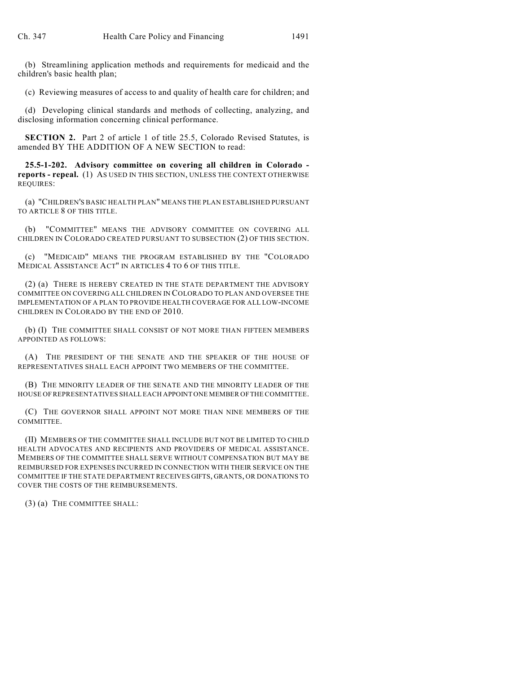(b) Streamlining application methods and requirements for medicaid and the children's basic health plan;

(c) Reviewing measures of access to and quality of health care for children; and

(d) Developing clinical standards and methods of collecting, analyzing, and disclosing information concerning clinical performance.

**SECTION 2.** Part 2 of article 1 of title 25.5, Colorado Revised Statutes, is amended BY THE ADDITION OF A NEW SECTION to read:

**25.5-1-202. Advisory committee on covering all children in Colorado reports - repeal.** (1) AS USED IN THIS SECTION, UNLESS THE CONTEXT OTHERWISE REQUIRES:

(a) "CHILDREN'S BASIC HEALTH PLAN" MEANS THE PLAN ESTABLISHED PURSUANT TO ARTICLE 8 OF THIS TITLE.

(b) "COMMITTEE" MEANS THE ADVISORY COMMITTEE ON COVERING ALL CHILDREN IN COLORADO CREATED PURSUANT TO SUBSECTION (2) OF THIS SECTION.

(c) "MEDICAID" MEANS THE PROGRAM ESTABLISHED BY THE "COLORADO MEDICAL ASSISTANCE ACT" IN ARTICLES 4 TO 6 OF THIS TITLE.

(2) (a) THERE IS HEREBY CREATED IN THE STATE DEPARTMENT THE ADVISORY COMMITTEE ON COVERING ALL CHILDREN IN COLORADO TO PLAN AND OVERSEE THE IMPLEMENTATION OF A PLAN TO PROVIDE HEALTH COVERAGE FOR ALL LOW-INCOME CHILDREN IN COLORADO BY THE END OF 2010.

(b) (I) THE COMMITTEE SHALL CONSIST OF NOT MORE THAN FIFTEEN MEMBERS APPOINTED AS FOLLOWS:

(A) THE PRESIDENT OF THE SENATE AND THE SPEAKER OF THE HOUSE OF REPRESENTATIVES SHALL EACH APPOINT TWO MEMBERS OF THE COMMITTEE.

(B) THE MINORITY LEADER OF THE SENATE AND THE MINORITY LEADER OF THE HOUSE OF REPRESENTATIVES SHALL EACH APPOINT ONE MEMBER OF THE COMMITTEE.

(C) THE GOVERNOR SHALL APPOINT NOT MORE THAN NINE MEMBERS OF THE COMMITTEE.

(II) MEMBERS OF THE COMMITTEE SHALL INCLUDE BUT NOT BE LIMITED TO CHILD HEALTH ADVOCATES AND RECIPIENTS AND PROVIDERS OF MEDICAL ASSISTANCE. MEMBERS OF THE COMMITTEE SHALL SERVE WITHOUT COMPENSATION BUT MAY BE REIMBURSED FOR EXPENSES INCURRED IN CONNECTION WITH THEIR SERVICE ON THE COMMITTEE IF THE STATE DEPARTMENT RECEIVES GIFTS, GRANTS, OR DONATIONS TO COVER THE COSTS OF THE REIMBURSEMENTS.

(3) (a) THE COMMITTEE SHALL: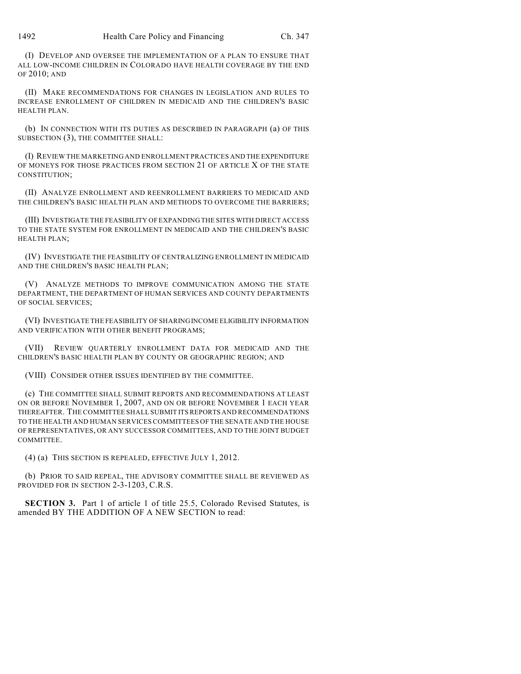(I) DEVELOP AND OVERSEE THE IMPLEMENTATION OF A PLAN TO ENSURE THAT ALL LOW-INCOME CHILDREN IN COLORADO HAVE HEALTH COVERAGE BY THE END OF 2010; AND

(II) MAKE RECOMMENDATIONS FOR CHANGES IN LEGISLATION AND RULES TO INCREASE ENROLLMENT OF CHILDREN IN MEDICAID AND THE CHILDREN'S BASIC HEALTH PLAN.

(b) IN CONNECTION WITH ITS DUTIES AS DESCRIBED IN PARAGRAPH (a) OF THIS SUBSECTION (3), THE COMMITTEE SHALL:

(I) REVIEW THE MARKETING AND ENROLLMENT PRACTICES AND THE EXPENDITURE OF MONEYS FOR THOSE PRACTICES FROM SECTION 21 OF ARTICLE X OF THE STATE CONSTITUTION;

(II) ANALYZE ENROLLMENT AND REENROLLMENT BARRIERS TO MEDICAID AND THE CHILDREN'S BASIC HEALTH PLAN AND METHODS TO OVERCOME THE BARRIERS;

(III) INVESTIGATE THE FEASIBILITY OF EXPANDING THE SITES WITH DIRECT ACCESS TO THE STATE SYSTEM FOR ENROLLMENT IN MEDICAID AND THE CHILDREN'S BASIC HEALTH PLAN;

(IV) INVESTIGATE THE FEASIBILITY OF CENTRALIZING ENROLLMENT IN MEDICAID AND THE CHILDREN'S BASIC HEALTH PLAN;

(V) ANALYZE METHODS TO IMPROVE COMMUNICATION AMONG THE STATE DEPARTMENT, THE DEPARTMENT OF HUMAN SERVICES AND COUNTY DEPARTMENTS OF SOCIAL SERVICES;

(VI) INVESTIGATE THE FEASIBILITY OF SHARING INCOME ELIGIBILITY INFORMATION AND VERIFICATION WITH OTHER BENEFIT PROGRAMS;

(VII) REVIEW QUARTERLY ENROLLMENT DATA FOR MEDICAID AND THE CHILDREN'S BASIC HEALTH PLAN BY COUNTY OR GEOGRAPHIC REGION; AND

(VIII) CONSIDER OTHER ISSUES IDENTIFIED BY THE COMMITTEE.

(c) THE COMMITTEE SHALL SUBMIT REPORTS AND RECOMMENDATIONS AT LEAST ON OR BEFORE NOVEMBER 1, 2007, AND ON OR BEFORE NOVEMBER 1 EACH YEAR THEREAFTER. THE COMMITTEE SHALL SUBMIT ITS REPORTS AND RECOMMENDATIONS TO THE HEALTH AND HUMAN SERVICES COMMITTEES OF THE SENATE AND THE HOUSE OF REPRESENTATIVES, OR ANY SUCCESSOR COMMITTEES, AND TO THE JOINT BUDGET COMMITTEE.

(4) (a) THIS SECTION IS REPEALED, EFFECTIVE JULY 1, 2012.

(b) PRIOR TO SAID REPEAL, THE ADVISORY COMMITTEE SHALL BE REVIEWED AS PROVIDED FOR IN SECTION 2-3-1203, C.R.S.

**SECTION 3.** Part 1 of article 1 of title 25.5, Colorado Revised Statutes, is amended BY THE ADDITION OF A NEW SECTION to read: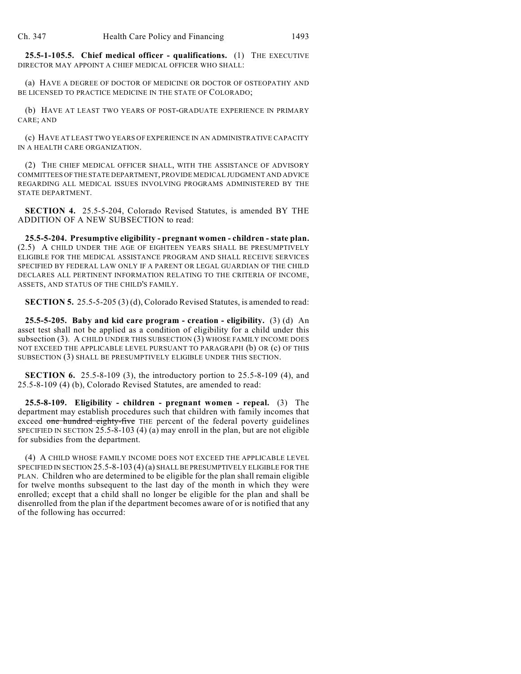**25.5-1-105.5. Chief medical officer - qualifications.** (1) THE EXECUTIVE DIRECTOR MAY APPOINT A CHIEF MEDICAL OFFICER WHO SHALL:

(a) HAVE A DEGREE OF DOCTOR OF MEDICINE OR DOCTOR OF OSTEOPATHY AND BE LICENSED TO PRACTICE MEDICINE IN THE STATE OF COLORADO;

(b) HAVE AT LEAST TWO YEARS OF POST-GRADUATE EXPERIENCE IN PRIMARY CARE; AND

(c) HAVE AT LEAST TWO YEARS OF EXPERIENCE IN AN ADMINISTRATIVE CAPACITY IN A HEALTH CARE ORGANIZATION.

(2) THE CHIEF MEDICAL OFFICER SHALL, WITH THE ASSISTANCE OF ADVISORY COMMITTEES OF THE STATE DEPARTMENT, PROVIDE MEDICAL JUDGMENT AND ADVICE REGARDING ALL MEDICAL ISSUES INVOLVING PROGRAMS ADMINISTERED BY THE STATE DEPARTMENT.

**SECTION 4.** 25.5-5-204, Colorado Revised Statutes, is amended BY THE ADDITION OF A NEW SUBSECTION to read:

**25.5-5-204. Presumptive eligibility - pregnant women - children - state plan.** (2.5) A CHILD UNDER THE AGE OF EIGHTEEN YEARS SHALL BE PRESUMPTIVELY ELIGIBLE FOR THE MEDICAL ASSISTANCE PROGRAM AND SHALL RECEIVE SERVICES SPECIFIED BY FEDERAL LAW ONLY IF A PARENT OR LEGAL GUARDIAN OF THE CHILD DECLARES ALL PERTINENT INFORMATION RELATING TO THE CRITERIA OF INCOME, ASSETS, AND STATUS OF THE CHILD'S FAMILY.

**SECTION 5.** 25.5-5-205 (3) (d), Colorado Revised Statutes, is amended to read:

**25.5-5-205. Baby and kid care program - creation - eligibility.** (3) (d) An asset test shall not be applied as a condition of eligibility for a child under this subsection (3). A CHILD UNDER THIS SUBSECTION (3) WHOSE FAMILY INCOME DOES NOT EXCEED THE APPLICABLE LEVEL PURSUANT TO PARAGRAPH (b) OR (c) OF THIS SUBSECTION (3) SHALL BE PRESUMPTIVELY ELIGIBLE UNDER THIS SECTION.

**SECTION 6.** 25.5-8-109 (3), the introductory portion to 25.5-8-109 (4), and 25.5-8-109 (4) (b), Colorado Revised Statutes, are amended to read:

**25.5-8-109. Eligibility - children - pregnant women - repeal.** (3) The department may establish procedures such that children with family incomes that exceed one hundred eighty-five THE percent of the federal poverty guidelines SPECIFIED IN SECTION  $25.5-8-103(4)(a)$  may enroll in the plan, but are not eligible for subsidies from the department.

(4) A CHILD WHOSE FAMILY INCOME DOES NOT EXCEED THE APPLICABLE LEVEL SPECIFIED IN SECTION 25.5-8-103 (4) (a) SHALL BE PRESUMPTIVELY ELIGIBLE FOR THE PLAN. Children who are determined to be eligible for the plan shall remain eligible for twelve months subsequent to the last day of the month in which they were enrolled; except that a child shall no longer be eligible for the plan and shall be disenrolled from the plan if the department becomes aware of or is notified that any of the following has occurred: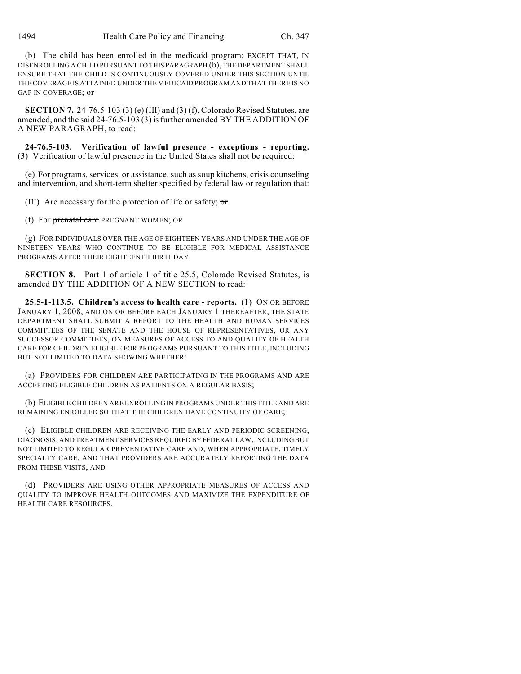(b) The child has been enrolled in the medicaid program; EXCEPT THAT, IN DISENROLLING A CHILD PURSUANT TO THIS PARAGRAPH (b), THE DEPARTMENT SHALL ENSURE THAT THE CHILD IS CONTINUOUSLY COVERED UNDER THIS SECTION UNTIL THE COVERAGE IS ATTAINED UNDER THE MEDICAID PROGRAM AND THAT THERE IS NO GAP IN COVERAGE; or

**SECTION 7.** 24-76.5-103 (3) (e) (III) and (3) (f), Colorado Revised Statutes, are amended, and the said 24-76.5-103 (3) isfurther amended BY THE ADDITION OF A NEW PARAGRAPH, to read:

**24-76.5-103. Verification of lawful presence - exceptions - reporting.** (3) Verification of lawful presence in the United States shall not be required:

(e) For programs, services, or assistance, such as soup kitchens, crisis counseling and intervention, and short-term shelter specified by federal law or regulation that:

(III) Are necessary for the protection of life or safety; or

(f) For prenatal care PREGNANT WOMEN; OR

(g) FOR INDIVIDUALS OVER THE AGE OF EIGHTEEN YEARS AND UNDER THE AGE OF NINETEEN YEARS WHO CONTINUE TO BE ELIGIBLE FOR MEDICAL ASSISTANCE PROGRAMS AFTER THEIR EIGHTEENTH BIRTHDAY.

**SECTION 8.** Part 1 of article 1 of title 25.5, Colorado Revised Statutes, is amended BY THE ADDITION OF A NEW SECTION to read:

**25.5-1-113.5. Children's access to health care - reports.** (1) ON OR BEFORE JANUARY 1, 2008, AND ON OR BEFORE EACH JANUARY 1 THEREAFTER, THE STATE DEPARTMENT SHALL SUBMIT A REPORT TO THE HEALTH AND HUMAN SERVICES COMMITTEES OF THE SENATE AND THE HOUSE OF REPRESENTATIVES, OR ANY SUCCESSOR COMMITTEES, ON MEASURES OF ACCESS TO AND QUALITY OF HEALTH CARE FOR CHILDREN ELIGIBLE FOR PROGRAMS PURSUANT TO THIS TITLE, INCLUDING BUT NOT LIMITED TO DATA SHOWING WHETHER:

(a) PROVIDERS FOR CHILDREN ARE PARTICIPATING IN THE PROGRAMS AND ARE ACCEPTING ELIGIBLE CHILDREN AS PATIENTS ON A REGULAR BASIS;

(b) ELIGIBLE CHILDREN ARE ENROLLING IN PROGRAMS UNDER THIS TITLE AND ARE REMAINING ENROLLED SO THAT THE CHILDREN HAVE CONTINUITY OF CARE;

(c) ELIGIBLE CHILDREN ARE RECEIVING THE EARLY AND PERIODIC SCREENING, DIAGNOSIS, AND TREATMENT SERVICES REQUIRED BY FEDERAL LAW, INCLUDING BUT NOT LIMITED TO REGULAR PREVENTATIVE CARE AND, WHEN APPROPRIATE, TIMELY SPECIALTY CARE, AND THAT PROVIDERS ARE ACCURATELY REPORTING THE DATA FROM THESE VISITS; AND

(d) PROVIDERS ARE USING OTHER APPROPRIATE MEASURES OF ACCESS AND QUALITY TO IMPROVE HEALTH OUTCOMES AND MAXIMIZE THE EXPENDITURE OF HEALTH CARE RESOURCES.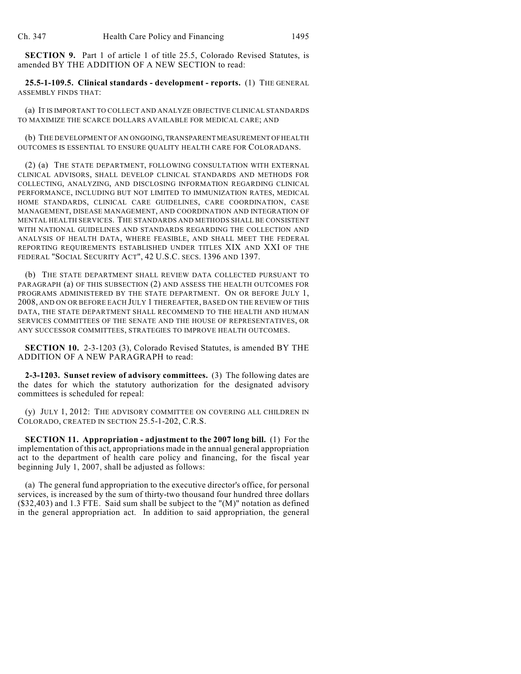**SECTION 9.** Part 1 of article 1 of title 25.5, Colorado Revised Statutes, is amended BY THE ADDITION OF A NEW SECTION to read:

**25.5-1-109.5. Clinical standards - development - reports.** (1) THE GENERAL ASSEMBLY FINDS THAT:

(a) IT IS IMPORTANT TO COLLECT AND ANALYZE OBJECTIVE CLINICAL STANDARDS TO MAXIMIZE THE SCARCE DOLLARS AVAILABLE FOR MEDICAL CARE; AND

(b) THE DEVELOPMENT OF AN ONGOING, TRANSPARENT MEASUREMENT OF HEALTH OUTCOMES IS ESSENTIAL TO ENSURE QUALITY HEALTH CARE FOR COLORADANS.

(2) (a) THE STATE DEPARTMENT, FOLLOWING CONSULTATION WITH EXTERNAL CLINICAL ADVISORS, SHALL DEVELOP CLINICAL STANDARDS AND METHODS FOR COLLECTING, ANALYZING, AND DISCLOSING INFORMATION REGARDING CLINICAL PERFORMANCE, INCLUDING BUT NOT LIMITED TO IMMUNIZATION RATES, MEDICAL HOME STANDARDS, CLINICAL CARE GUIDELINES, CARE COORDINATION, CASE MANAGEMENT, DISEASE MANAGEMENT, AND COORDINATION AND INTEGRATION OF MENTAL HEALTH SERVICES. THE STANDARDS AND METHODS SHALL BE CONSISTENT WITH NATIONAL GUIDELINES AND STANDARDS REGARDING THE COLLECTION AND ANALYSIS OF HEALTH DATA, WHERE FEASIBLE, AND SHALL MEET THE FEDERAL REPORTING REQUIREMENTS ESTABLISHED UNDER TITLES XIX AND XXI OF THE FEDERAL "SOCIAL SECURITY ACT", 42 U.S.C. SECS. 1396 AND 1397.

(b) THE STATE DEPARTMENT SHALL REVIEW DATA COLLECTED PURSUANT TO PARAGRAPH (a) OF THIS SUBSECTION (2) AND ASSESS THE HEALTH OUTCOMES FOR PROGRAMS ADMINISTERED BY THE STATE DEPARTMENT. ON OR BEFORE JULY 1, 2008, AND ON OR BEFORE EACH JULY 1 THEREAFTER, BASED ON THE REVIEW OF THIS DATA, THE STATE DEPARTMENT SHALL RECOMMEND TO THE HEALTH AND HUMAN SERVICES COMMITTEES OF THE SENATE AND THE HOUSE OF REPRESENTATIVES, OR ANY SUCCESSOR COMMITTEES, STRATEGIES TO IMPROVE HEALTH OUTCOMES.

**SECTION 10.** 2-3-1203 (3), Colorado Revised Statutes, is amended BY THE ADDITION OF A NEW PARAGRAPH to read:

**2-3-1203. Sunset review of advisory committees.** (3) The following dates are the dates for which the statutory authorization for the designated advisory committees is scheduled for repeal:

(y) JULY 1, 2012: THE ADVISORY COMMITTEE ON COVERING ALL CHILDREN IN COLORADO, CREATED IN SECTION 25.5-1-202, C.R.S.

**SECTION 11. Appropriation - adjustment to the 2007 long bill.** (1) For the implementation of this act, appropriations made in the annual general appropriation act to the department of health care policy and financing, for the fiscal year beginning July 1, 2007, shall be adjusted as follows:

(a) The general fund appropriation to the executive director's office, for personal services, is increased by the sum of thirty-two thousand four hundred three dollars (\$32,403) and 1.3 FTE. Said sum shall be subject to the "(M)" notation as defined in the general appropriation act. In addition to said appropriation, the general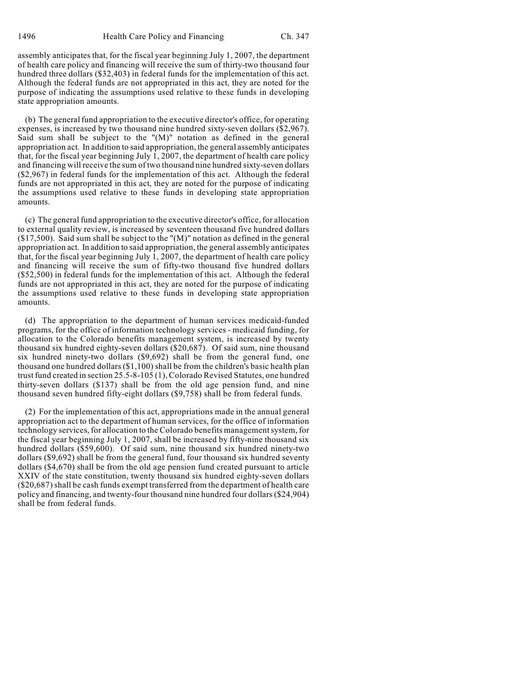assembly anticipates that, for the fiscal year beginning July 1, 2007, the department of health care policy and financing will receive the sum of thirty-two thousand four hundred three dollars (\$32,403) in federal funds for the implementation of this act. Although the federal funds are not appropriated in this act, they are noted for the purpose of indicating the assumptions used relative to these funds in developing state appropriation amounts.

(b) The general fund appropriation to the executive director's office, for operating expenses, is increased by two thousand nine hundred sixty-seven dollars (\$2,967). Said sum shall be subject to the "(M)" notation as defined in the general appropriation act. In addition to said appropriation, the general assembly anticipates that, for the fiscal year beginning July 1, 2007, the department of health care policy and financing will receive the sum of two thousand nine hundred sixty-seven dollars (\$2,967) in federal funds for the implementation of this act. Although the federal funds are not appropriated in this act, they are noted for the purpose of indicating the assumptions used relative to these funds in developing state appropriation amounts.

(c) The general fund appropriation to the executive director's office, for allocation to external quality review, is increased by seventeen thousand five hundred dollars (\$17,500). Said sum shall be subject to the "(M)" notation as defined in the general appropriation act. In addition to said appropriation, the general assembly anticipates that, for the fiscal year beginning July 1, 2007, the department of health care policy and financing will receive the sum of fifty-two thousand five hundred dollars (\$52,500) in federal funds for the implementation of this act. Although the federal funds are not appropriated in this act, they are noted for the purpose of indicating the assumptions used relative to these funds in developing state appropriation amounts.

(d) The appropriation to the department of human services medicaid-funded programs, for the office of information technology services - medicaid funding, for allocation to the Colorado benefits management system, is increased by twenty thousand six hundred eighty-seven dollars (\$20,687). Of said sum, nine thousand six hundred ninety-two dollars (\$9,692) shall be from the general fund, one thousand one hundred dollars (\$1,100) shall be from the children's basic health plan trust fund created in section 25.5-8-105 (1), Colorado Revised Statutes, one hundred thirty-seven dollars (\$137) shall be from the old age pension fund, and nine thousand seven hundred fifty-eight dollars (\$9,758) shall be from federal funds.

(2) For the implementation of this act, appropriations made in the annual general appropriation act to the department of human services, for the office of information technology services, for allocation to the Colorado benefits management system, for the fiscal year beginning July 1, 2007, shall be increased by fifty-nine thousand six hundred dollars (\$59,600). Of said sum, nine thousand six hundred ninety-two dollars (\$9,692) shall be from the general fund, four thousand six hundred seventy dollars (\$4,670) shall be from the old age pension fund created pursuant to article XXIV of the state constitution, twenty thousand six hundred eighty-seven dollars (\$20,687) shall be cash funds exempt transferred from the department of health care policy and financing, and twenty-four thousand nine hundred four dollars (\$24,904) shall be from federal funds.